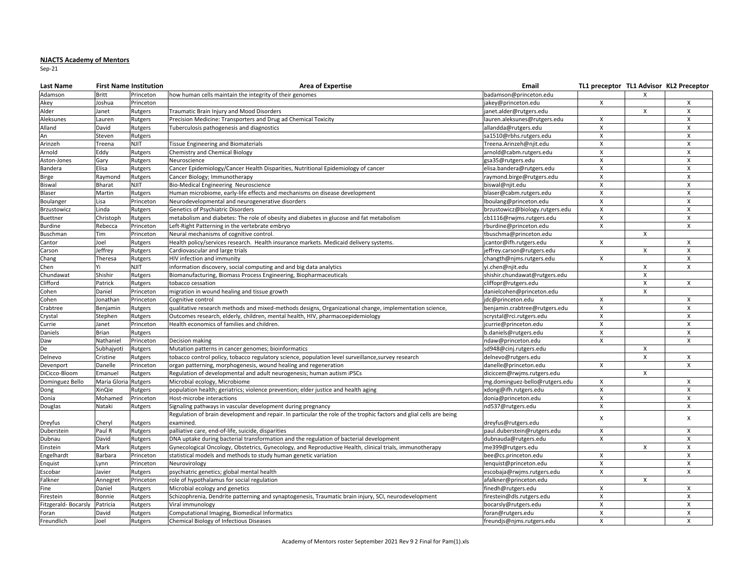## **NJACTS Academy of Mentors**

Sep-21

| Last Name           | <b>First Name Institution</b> |             | <b>Area of Expertise</b>                                                                                            | Email                           | TL1 preceptor TL1 Advisor KL2 Preceptor |              |                           |
|---------------------|-------------------------------|-------------|---------------------------------------------------------------------------------------------------------------------|---------------------------------|-----------------------------------------|--------------|---------------------------|
| Adamson             | <b>Britt</b>                  | Princeton   | how human cells maintain the integrity of their genomes                                                             | badamson@princeton.edu          |                                         | X            |                           |
| Akey                | loshua                        | Princeton   |                                                                                                                     | akey@princeton.edu              | $\mathsf{X}$                            |              | X                         |
| Alder               | lanet                         | Rutgers     | Traumatic Brain Injury and Mood Disorders                                                                           | anet.alder@rutgers.edu          |                                         | X            | X                         |
| Aleksunes           | auren.                        | Rutgers     | Precision Medicine: Transporters and Drug ad Chemical Toxicity                                                      | auren.aleksunes@rutgers.edu     | $\mathsf{x}$                            |              | $\mathsf{x}$              |
| Alland              | David                         | Rutgers     | Tuberculosis pathogenesis and diagnostics                                                                           | allandda@rutgers.edu            | $\boldsymbol{\mathsf{X}}$               |              | $\mathsf{x}$              |
| An                  | Steven                        | Rutgers     |                                                                                                                     | sa1510@rbhs.rutgers.edu         | X                                       |              | X                         |
| Arinzeh             | Treena                        | <b>NJIT</b> | <b>Tissue Engineering and Biomaterials</b>                                                                          | Treena.Arinzeh@njit.edu         | X                                       |              | $\pmb{\chi}$              |
| Arnold              | Eddy                          | Rutgers     | Chemistry and Chemical Biology                                                                                      | arnold@cabm.rutgers.edu         | $\pmb{\times}$                          |              | $\pmb{\chi}$              |
| Aston-Jones         | Gary                          | Rutgers     | Neuroscience                                                                                                        | gsa35@rutgers.edu               | X                                       |              | $\pmb{\chi}$              |
| Bandera             | Elisa                         | Rutgers     | Cancer Epidemiology/Cancer Health Disparities, Nutritional Epidemiology of cancer                                   | elisa.bandera@rutgers.edu       | $\boldsymbol{\mathsf{X}}$               |              | $\mathsf{x}$              |
| Birge               | Raymond                       | Rutgers     | Cancer Biology; Immunotherapy                                                                                       | aymond.birge@rutgers.edu        | X                                       |              | X                         |
| Biswal              | Bharat                        | NJIT        | Bio-Medical Engineering Neuroscience                                                                                | biswal@njit.edu                 | X                                       |              | $\mathsf{X}$              |
| Blaser              | Martin                        | Rutgers     | Human microbiome, early-life effects and mechanisms on disease development                                          | blaser@cabm.rutgers.edu         | X                                       |              | $\pmb{\chi}$              |
| Boulanger           | Lisa                          | Princeton   | Neurodevelopmental and neurogenerative disorders                                                                    | lboulang@princeton.edu          | X                                       |              | $\pmb{\mathsf{X}}$        |
| <b>Brzustowicz</b>  | Linda                         | Rutgers     | Genetics of Psychiatric Disorders                                                                                   | brzustowicz@biology.rutgers.edu | X                                       |              | $\boldsymbol{\mathsf{X}}$ |
| Buettner            | Christoph                     | Rutgers     | metabolism and diabetes: The role of obesity and diabetes in glucose and fat metabolism                             | cb1116@rwjms.rutgers.edu        | X                                       |              | X                         |
| <b>Burdine</b>      | Rebecca                       | Princeton   | Left-Right Patterning in the vertebrate embryo                                                                      | rburdine@princeton.edu          | X                                       |              | X                         |
| Buschman            | Tim                           | Princeton   | Neural mechanisms of cognitive control.                                                                             | tbuschma@princeton.edu          |                                         | X            |                           |
| Cantor              | Joel                          | Rutgers     | Health policy/services research. Health insurance markets. Medicaid delivery systems.                               | cantor@ifh.rutgers.edu          | X                                       |              | X                         |
| Carson              | Jeffrey                       | Rutgers     | Cardiovascular and large trials                                                                                     | jeffrey.carson@rutgers.edu      |                                         | x            | X                         |
| Chang               | Theresa                       | Rutgers     | HIV infection and immunity                                                                                          | changth@njms.rutgers.edu        | $\boldsymbol{\mathsf{X}}$               |              | X                         |
| Chen                | Vi                            | NJIT        | information discovery, social computing and and big data analytics                                                  | yi.chen@njit.edu                |                                         | X            | X                         |
| Chundawat           | Shishir                       | Rutgers     | Biomanufacturing, Biomass Process Engineering, Biopharmaceuticals                                                   | shishir.chundawat@rutgers.edu   |                                         | $\pmb{\chi}$ |                           |
| Clifford            | Patrick                       | Rutgers     | tobacco cessation                                                                                                   | cliffopr@rutgers.edu            |                                         | X            | $\boldsymbol{\mathsf{X}}$ |
| Cohen               | Daniel                        | Princeton   | migration in wound healing and tissue growth                                                                        | danielcohen@princeton.edu       |                                         | X            |                           |
| Cohen               | onathan                       | Princeton   | Cognitive control                                                                                                   | dc@princeton.edu                | $\mathsf{x}$                            |              | $\mathsf{x}$              |
| Crabtree            | Benjamin                      | Rutgers     | qualitative research methods and mixed-methods designs, Organizational change, implementation science,              | oenjamin.crabtree@rutgers.edu   | $\boldsymbol{\mathsf{X}}$               |              | X                         |
| Crystal             | Stephen                       | Rutgers     | Outcomes research, elderly, children, mental health, HIV, pharmacoepidemiology                                      | scrystal@rci.rutgers.edu        | $\boldsymbol{\mathsf{x}}$               |              | $\mathsf{x}$              |
| Currie              | lanet                         | Princeton   | Health economics of families and children.                                                                          | currie@princeton.edu            | X                                       |              | X                         |
| Daniels             | Brian                         | Rutgers     |                                                                                                                     | o.daniels@rutgers.edu           | X                                       |              | X                         |
| Daw                 | Nathaniel                     | Princeton   | Decision making                                                                                                     | ndaw@princeton.edu              | $\mathsf{x}$                            |              | $\mathsf{x}$              |
| De                  | Subhajyoti                    | Rutgers     | Mutation patterns in cancer genomes; bioinformatics                                                                 | sd948@cinj.rutgers.edu          |                                         | $\mathsf{x}$ |                           |
| Delnevo             | Cristine                      | Rutgers     | tobacco control policy, tobacco regulatory science, population level surveillance, survey research                  | delnevo@rutgers.edu             |                                         | X            | $\mathsf{X}$              |
| Devenport           | Danelle                       | Princeton   | organ patterning, morphogenesis, wound healing and regeneration                                                     | danelle@princeton.edu           | X                                       |              | $\mathsf{x}$              |
| DiCicco-Bloom       | Emanuel                       | Rutgers     | Regulation of developmental and adult neurogenesis; human autism iPSCs                                              | diciccem@rwjms.rutgers.edu      |                                         | X            |                           |
| Dominguez Bello     | Maria Gloria                  | Rutgers     | Microbial ecology, Microbiome                                                                                       | mg.dominguez-bello@rutgers.edu  | $\boldsymbol{\mathsf{X}}$               |              | $\mathsf{X}$              |
| Dong                | XinQie                        | Rutgers     | population health; geriatrics; violence prevention; elder justice and health aging                                  | xdong@ifh.rutgers.edu           | $\boldsymbol{\mathsf{x}}$               |              | $\times$                  |
| Donia               | Mohamed                       | Princeton   | Host-microbe interactions                                                                                           | donia@princeton.edu             | X                                       |              | X                         |
| Douglas             | Nataki                        | Rutgers     | Signaling pathways in vascular development during pregnancy                                                         | nd537@rutgers.edu               | X                                       |              | X                         |
|                     |                               |             | Regulation of brain development and repair. In particular the role of the trophic factors and glial cells are being |                                 | X                                       |              | X                         |
| Dreyfus             | Cheryl                        | Rutgers     | examined.                                                                                                           | dreyfus@rutgers.edu             |                                         |              |                           |
| Duberstein          | Paul R                        | Rutgers     | palliative care, end-of-life, suicide, disparities                                                                  | paul.duberstein@rutgers.edu     | X                                       |              | X                         |
| Dubnau              | David                         | Rutgers     | DNA uptake during bacterial transformation and the regulation of bacterial development                              | dubnauda@rutgers.edu            | X                                       |              | X                         |
| Einstein            | Mark                          | Rutgers     | Gynecological Oncology, Obstetrics, Gynecology, and Reproductive Health, clinical trials, immunotherapy             | me399@rutgers.edu               |                                         | X            | X                         |
| Engelhardt          | Barbara                       | Princeton   | statistical models and methods to study human genetic variation                                                     | bee@cs.princeton.edu            | X                                       |              | $\pmb{\chi}$              |
| Enquist             | ynn.                          | Princeton   | Neurovirology                                                                                                       | enquist@princeton.edu           | X                                       |              | $\mathsf{X}$              |
| Escobar             | lavier                        | Rutgers     | psychiatric genetics; global mental health                                                                          | escobaja@rwjms.rutgers.edu      | X                                       |              | X                         |
| Falkner             | Annegret                      | Princeton   | role of hypothalamus for social regulation                                                                          | afalkner@princeton.edu          |                                         | X            |                           |
| Fine                | Daniel                        | Rutgers     | Microbial ecology and genetics                                                                                      | finedh@rutgers.edu              | $\boldsymbol{\mathsf{X}}$               |              | $\mathsf{X}$              |
| Firestein           | Bonnie                        | Rutgers     | Schizophrenia, Dendrite patterning and synaptogenesis, Traumatic brain injury, SCI, neurodevelopment                | irestein@dls.rutgers.edu        | X                                       |              | $\pmb{\chi}$              |
| Fitzgerald-Bocarsly | Patricia                      | Rutgers     | Viral immunology                                                                                                    | bocarsly@rutgers.edu            | $\mathsf X$                             |              | $\mathsf{x}$              |
| Foran               | David                         | Rutgers     | Computational Imaging, Biomedical Informatics                                                                       | foran@rutgers.edu               | X                                       |              | X                         |
| Freundlich          | Joel                          | Rutgers     | Chemical Biology of Infectious Diseases                                                                             | freundis@nims.rutgers.edu       | $\mathsf{x}$                            |              | X                         |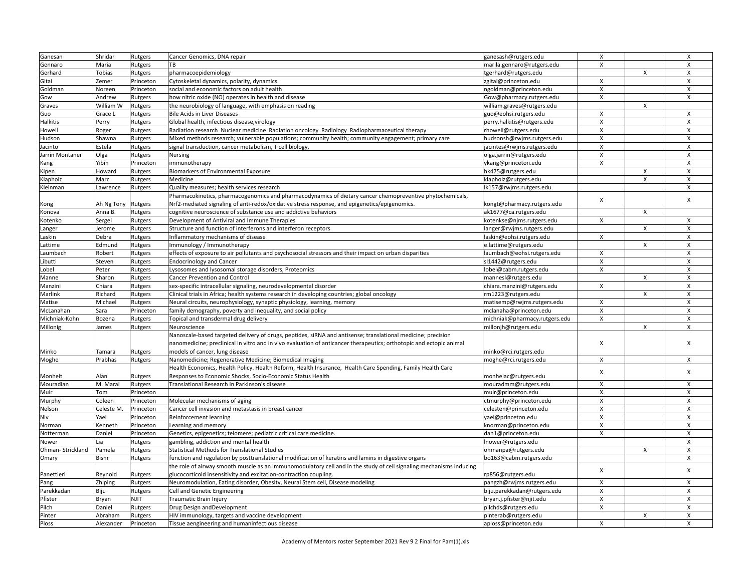| Ganesan          | Shridar            | Rutgers   | Cancer Genomics, DNA repair                                                                                         | ganesash@rutgers.edu          | $\mathsf{X}$              |                | X                         |
|------------------|--------------------|-----------|---------------------------------------------------------------------------------------------------------------------|-------------------------------|---------------------------|----------------|---------------------------|
| Gennaro          | Maria              | Rutgers   | ТB                                                                                                                  | marila.gennaro@rutgers.edu    | Χ                         |                | X                         |
| Gerhard          | Tobias             | Rutgers   | pharmacoepidemiology                                                                                                | tgerhard@rutgers.edu          |                           | $\mathsf{x}$   | $\mathsf{x}$              |
| Gitai            | Zemer              | Princeton | Cytoskeletal dynamics, polarity, dynamics                                                                           | zgitai@princeton.edu          | Χ                         |                | $\boldsymbol{\mathsf{X}}$ |
| Goldman          | Noreen             | Princeton | social and economic factors on adult health                                                                         | ngoldman@princeton.edu        | X                         |                | $\mathsf{x}$              |
| Gow              | Andrew             | Rutgers   | how nitric oxide (NO) operates in health and disease                                                                | Gow@pharmacy.rutgers.edu      | X                         |                | X                         |
| Graves           | William W          | Rutgers   | the neurobiology of language, with emphasis on reading                                                              | william.graves@rutgers.edu    |                           | X              |                           |
| Guo              | Grace L            | Rutgers   | Bile Acids in Liver Diseases                                                                                        | guo@eohsi.rutgers.edu         | $\boldsymbol{\mathsf{X}}$ |                | $\mathsf{x}$              |
| <b>Halkitis</b>  | Perry              | Rutgers   | Global health, infectious disease, virology                                                                         | perry.halkitis@rutgers.edu    | X                         |                | X                         |
| Howell           | Roger              | Rutgers   | Radiation research Nuclear medicine Radiation oncology Radiology Radiopharmaceutical therapy                        | rhowell@rutgers.edu           | X                         |                | X                         |
| Hudson           | Shawna             | Rutgers   | Mixed methods research; vulnerable populations; community health; community engagement; primary care                | hudsonsh@rwjms.rutgers.edu    | $\pmb{\times}$            |                | $\pmb{\chi}$              |
| Jacinto          | Estela             | Rutgers   | signal transduction, cancer metabolism, T cell biology,                                                             | jacintes@rwjms.rutgers.edu    | X                         |                | $\pmb{\chi}$              |
| Jarrin Montaner  | Olga               | Rutgers   | Nursing                                                                                                             | olga.jarrin@rutgers.edu       | X                         |                | $\boldsymbol{\mathsf{X}}$ |
| Kang             | Yibin              | Princeton | immunotherapy                                                                                                       | ykang@princeton.edu           | X                         |                | X                         |
| Kipen            | Howard             | Rutgers   | Biomarkers of Environmental Exposure                                                                                | hk475@rutgers.edu             |                           | X              | $\boldsymbol{\mathsf{X}}$ |
| Klapholz         | Marc               | Rutgers   | Medicine                                                                                                            | klapholz@rutgers.edu          |                           | X              | $\pmb{\times}$            |
| Kleinman         | Lawrence           | Rutgers   | Quality measures; health services research                                                                          | lk157@rwjms.rutgers.edu       |                           |                | X                         |
|                  |                    |           | Pharmacokinetics, pharmacogenomics and pharmacodynamics of dietary cancer chemopreventive phytochemicals,           |                               |                           |                |                           |
|                  | Ah Ng Tony Rutgers |           | Nrf2-mediated signaling of anti-redox/oxidative stress response, and epigenetics/epigenomics.                       | kongt@pharmacy.rutgers.edu    | $\pmb{\times}$            |                | $\pmb{\chi}$              |
| Kong<br>Konova   | Anna B.            | Rutgers   | cognitive neuroscience of substance use and addictive behaviors                                                     | ak1677@ca.rutgers.edu         |                           | $\mathsf{x}$   |                           |
|                  | Sergei             |           | Development of Antiviral and Immune Therapies                                                                       | kotenkse@njms.rutgers.edu     | X                         |                | X                         |
| Kotenko          |                    | Rutgers   |                                                                                                                     |                               |                           | X              | $\pmb{\chi}$              |
| Langer           | Jerome             | Rutgers   | Structure and function of interferons and interferon receptors                                                      | langer@rwjms.rutgers.edu      |                           |                |                           |
| Laskin           | Debra              | Rutgers   | Inflammatory mechanisms of disease                                                                                  | askin@eohsi.rutgers.edu       | Χ                         |                | X                         |
| Lattime          | Edmund             | Rutgers   | Immunology / Immunotherapy                                                                                          | e.lattime@rutgers.edu         |                           | X              | $\pmb{\chi}$              |
| Laumbach         | Robert             | Rutgers   | effects of exposure to air pollutants and psychosocial stressors and their impact on urban disparities              | laumbach@eohsi.rutgers.edu    | X                         |                | X                         |
| Libutti          | Steven             | Rutgers   | <b>Endocrinology and Cancer</b>                                                                                     | sl1442@rutgers.edu            | X                         |                | $\mathsf{x}$              |
| Lobel            | Peter              | Rutgers   | Lysosomes and lysosomal storage disorders, Proteomics                                                               | lobel@cabm.rutgers.edu        | $\pmb{\times}$            |                | $\pmb{\times}$            |
| Manne            | Sharon             | Rutgers   | Cancer Prevention and Control                                                                                       | mannesl@rutgers.edu           |                           | X              | X                         |
| Manzini          | Chiara             | Rutgers   | sex-specific intracellular signaling, neurodevelopmental disorder                                                   | chiara.manzini@rutgers.edu    | X                         |                | $\pmb{\times}$            |
| Marlink          | Richard            | Rutgers   | Clinical trials in Africa; health systems research in developing countries; global oncology                         | rm1223@rutgers.edu            |                           | X              | X                         |
| Matise           | Michael            | Rutgers   | Neural circuits, neurophysiology, synaptic physiology, learning, memory                                             | matisemp@rwjms.rutgers.edu    | $\boldsymbol{\mathsf{X}}$ |                | $\mathsf{X}$              |
| McLanahan        | Sara               | Princeton | family demography, poverty and inequality, and social policy                                                        | mclanaha@princeton.edu        | X                         |                | X                         |
| Michniak-Kohn    | Bozena             | Rutgers   | Topical and transdermal drug delivery                                                                               | michniak@pharmacy.rutgers.edu | Χ                         |                | $\times$                  |
| Millonig         | James              | Rutgers   | Neuroscience                                                                                                        | millonjh@rutgers.edu          |                           | $\pmb{\times}$ | X                         |
|                  |                    |           | Nanoscale-based targeted delivery of drugs, peptides, siRNA and antisense; translational medicine; precision        |                               |                           |                |                           |
|                  |                    |           | nanomedicine; preclinical in vitro and in vivo evaluation of anticancer therapeutics; orthotopic and ectopic animal |                               | X                         |                | X                         |
| Minko            | Tamara             | Rutgers   | models of cancer, lung disease                                                                                      | minko@rci.rutgers.edu         |                           |                |                           |
| Moghe            | Prabhas            | Rutgers   | Nanomedicine; Regenerative Medicine; Biomedical Imaging                                                             | moghe@rci.rutgers.edu         | X                         |                | X                         |
|                  |                    |           | Health Economics, Health Policy. Health Reform, Health Insurance, Health Care Spending, Family Health Care          |                               | $\pmb{\times}$            |                | X                         |
| Monheit          | Alan               | Rutgers   | Responses to Economic Shocks, Socio-Economic Status Health                                                          | monheiac@rutgers.edu          |                           |                |                           |
| Mouradian        | M. Maral           | Rutgers   | Translational Research in Parkinson's disease                                                                       | mouradmm@rutgers.edu          | X                         |                | X                         |
| Muir             | Tom                | Princeton |                                                                                                                     | muir@princeton.edu            | X                         |                | X                         |
| Murphy           | Coleen             | Princeton | Molecular mechanisms of aging                                                                                       | ctmurphy@princeton.edu        | X                         |                | X                         |
| Nelson           | Celeste M.         | Princeton | Cancer cell invasion and metastasis in breast cancer                                                                | celesten@princeton.edu        | X                         |                | $\boldsymbol{\mathsf{X}}$ |
| Niv              | Yael               | Princeton | Reinforcement learning                                                                                              | yael@princeton.edu            | $\pmb{\times}$            |                | $\pmb{\chi}$              |
| Norman           | Kenneth            | Princeton | Learning and memory                                                                                                 | knorman@princeton.edu         | X                         |                | $\boldsymbol{\mathsf{X}}$ |
| Notterman        | Daniel             | Princeton | Genetics, epigenetics; telomere; pediatric critical care medicine.                                                  | dan1@princeton.edu            | X                         |                | X                         |
| Nower            | .ia                | Rutgers   | gambling, addiction and mental health                                                                               | Inower@rutgers.edu            |                           |                | X                         |
| Ohman-Strickland | Pamela             | Rutgers   | Statistical Methods for Translational Studies                                                                       | ohmanpa@rutgers.edu           |                           | X              | $\mathsf{x}$              |
| Omary            | Bishr              | Rutgers   | function and regulation by posttranslational modification of keratins and lamins in digestive organs                | bo163@cabm.rutgers.edu        |                           |                | X                         |
|                  |                    |           | the role of airway smooth muscle as an immunomodulatory cell and in the study of cell signaling mechanisms inducing |                               |                           |                |                           |
| Panettieri       | Reynold            | Rutgers   | glucocorticoid insensitivity and excitation-contraction coupling.                                                   | rp856@rutgers.edu             | X                         |                | X                         |
| Pang             | Zhiping            | Rutgers   | Neuromodulation, Eating disorder, Obesity, Neural Stem cell, Disease modeling                                       | pangzh@rwjms.rutgers.edu      | $\pmb{\times}$            |                | $\pmb{\chi}$              |
| Parekkadan       | Biju               | Rutgers   | Cell and Genetic Engineering                                                                                        | biju.parekkadan@rutgers.edu   | х                         |                | X                         |
| Pfister          | Bryan              | NJIT      | <b>Traumatic Brain Injury</b>                                                                                       | bryan.j.pfister@njit.edu      | $\pmb{\times}$            |                | $\pmb{\times}$            |
| Pilch            | Daniel             | Rutgers   | Drug Design and Development                                                                                         | pilchds@rutgers.edu           | X                         |                | X                         |
| Pinter           | Abraham            | Rutgers   | HIV immunology, targets and vaccine development                                                                     | pinterab@rutgers.edu          |                           | X              | X                         |
| Ploss            | Alexander          | Princeton | Tissue aengineering and humaninfectious disease                                                                     | aploss@princeton.edu          | $\mathsf{x}$              |                | $\mathsf{x}$              |
|                  |                    |           |                                                                                                                     |                               |                           |                |                           |